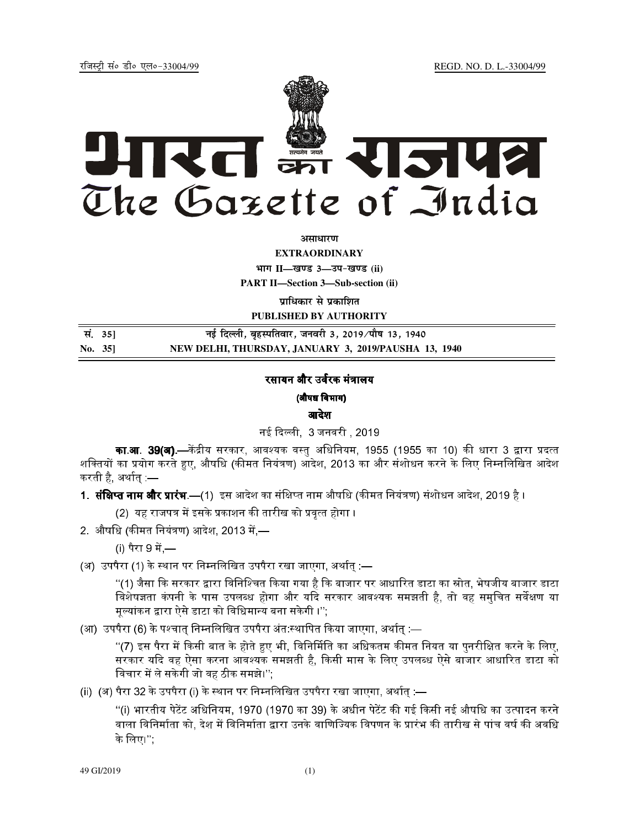jftLVªh laö Mhö ,yö&33004@99 REGD. NO. D. L.-33004/99



*<u>ature</u>lian* 

**EXTRAORDINARY**

**Hkkx II—[k.M 3—mi&[k.M (ii)**

**PART II—Section 3—Sub-section (ii)** 

**प्राधिकार से प्रकाशित** 

**PUBLISHED BY AUTHORITY**

| सं. 35] | नई दिल्ली, बृहस्पतिवार, जनवरी 3, 2019 ∕पौष 13, 1940  |
|---------|------------------------------------------------------|
| No. 35  | NEW DELHI, THURSDAY, JANUARY 3, 2019/PAUSHA 13, 1940 |

## रसायन और उर्वरक मंत्रालय

(औषध िवभाग)

आदेश

नई दिल्ली 3 जनवरी 2019

**का.आ. 39(अ).**—केंद्रीय सरकार. आवश्यक वस्त अधिनियम. 1955 (1955 का 10) की धारा 3 द्वारा प्रदत्त शक्तियों का प्रयोग करते हुए, औषधि (कीमत नियंत्रण) ऑदेश, 2013 का और संशोधन करने के लिए निम्नलिखित आदेश करती है, अर्थात् :—

1- -
.—(12
" 
)34 नाम औ&' ()\*+
) ", 2019 है ।

(2) यह राजपत्र में इसके प्रकाशन की तारीख को प्रवत्त होगा ।

2. औषधि (कीमत नियंत्रण) आदेश, 2013 में,—

(i) पैरा 9 में —

(अ) उपपैरा (1) के स्थान पर निम्नलिखित उपपैरा रखा जाएगा, अर्थात :—

"(1) जैसा कि सरकार द्वारा विनिश्चित किया गया है कि बाजार पर आधारित डाटा का स्रोत, भेषजीय बाजार डाटा विशेषज्ञता कंपनी के पास उपलब्ध होगा और यदि सरकार आवश्यक समझती है, तो वह समुचित सर्वेक्षण या मूल्यांकन द्वारा ऐसे डाटा को विधिमान्य बना सकेगी ।'';

(आ) उपपैरा (6) के पश्चात् निम्नलिखित उपपैरा अंत स्थापित किया जाएगा, अर्थात् :—

"(7) इस पैरा में किसी बात के होते हुए भी. विनिर्मिति का अधिकतम कीमत नियत या पनरीक्षित करने के लिए. सरकार यदि वह ऐसा करना आवश्यक समझती है, किसी मास के लिए उपलब्ध ऐसे बाजार आधारित डाटा को विचार में ले सकेगी जो वह ठीक समझे।'':

(ii) (अ) पैरा 32 के उपपैरा (i) के स्थान पर निम्नलिखित उपपैरा रखा जाएगा, अर्थात् :—

"(i) भारतीय पेटेंट अधिनियम, 1970 (1970 का 39) के अधीन पेटेंट की गई किसी नई औषधि का उत्पादन करने वाला विनिर्माता को. देश में विनिर्माता द्वारा उनके वाणिज्यिक विपणन के प्रारंभ की तारीख से पांच वर्ष की अवधि के िलए।'';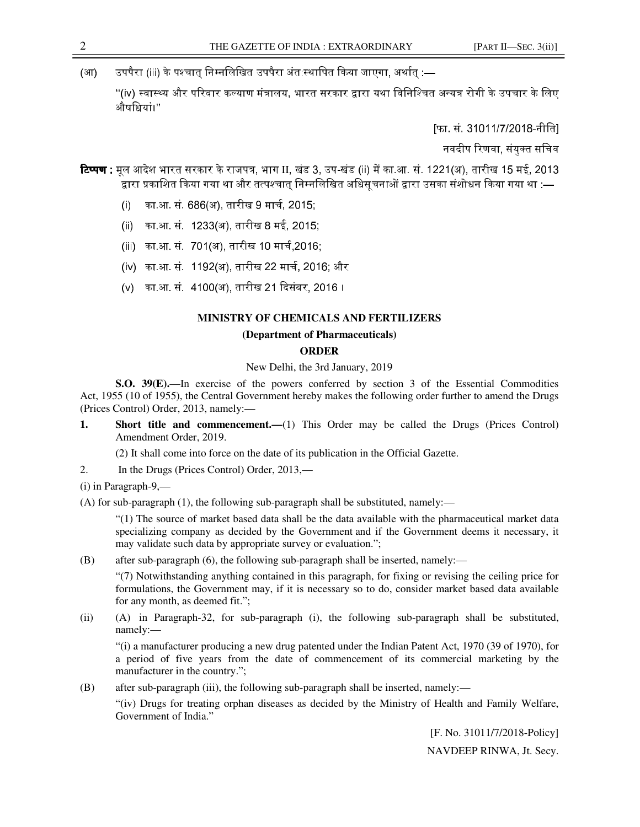(आ) ज्यपैरा (iii) के पश्चात् निम्नलिखित उपपैरा अंत:स्थापित किया जाएगा, अर्थात् :—

''(iv) स्वास्थ्य और परिवार कल्याण मंत्रालय, भारत सरकार द्वारा यथा विनिश्चित अन्यत्र रोगी के उपचार के लिए औषिधयां।''

[फा. सं. 31011/7/2018-नीित]

नवदीप रिणवा, संयुक्त सचिव

- **टिप्पण** : मूल आदेश भारत सरकार के राजपत्र, भाग II, खंड 3, उप-खंड (ii) में का.आ. सं. 1221(अ), तारीख 15 मई, 2013 द्वारा प्रकाशित किया गया था और तत्पश्चात् निम्नलिखित अधिसूचनाओं द्वारा उसका संशोधन किया गया था :—
	- (i) का.आ. सं. 686(अ), तारीख 9 मार्च, 2015;
	- (ii) का.आ. सं. 1233(अ), तारीख 8 मई, 2015;
	- (iii) का.आ. सं. 701(अ), तारीख 10 मार्च,2016;
	- (iv) का.आ. सं. 1192(अ), तारीख 22 मार्च, 2016; और
	- (v) का.आ. सं. 4100(अ), तारीख 21 दिसंबर, 2016 ।

## **MINISTRY OF CHEMICALS AND FERTILIZERS**

## **(Department of Pharmaceuticals)**

## **ORDER**

New Delhi, the 3rd January, 2019

**S.O. 39(E).**—In exercise of the powers conferred by section 3 of the Essential Commodities Act, 1955 (10 of 1955), the Central Government hereby makes the following order further to amend the Drugs (Prices Control) Order, 2013, namely:—

**1.** Short title and commencement.—(1) This Order may be called the Drugs (Prices Control) Amendment Order, 2019.

(2) It shall come into force on the date of its publication in the Official Gazette.

2. In the Drugs (Prices Control) Order, 2013,—

(i) in Paragraph-9,—

(A) for sub-paragraph (1), the following sub-paragraph shall be substituted, namely:—

"(1) The source of market based data shall be the data available with the pharmaceutical market data specializing company as decided by the Government and if the Government deems it necessary, it may validate such data by appropriate survey or evaluation.";

(B) after sub-paragraph (6), the following sub-paragraph shall be inserted, namely:—

"(7) Notwithstanding anything contained in this paragraph, for fixing or revising the ceiling price for formulations, the Government may, if it is necessary so to do, consider market based data available for any month, as deemed fit.";

(ii) (A) in Paragraph-32, for sub-paragraph (i), the following sub-paragraph shall be substituted, namely:—

"(i) a manufacturer producing a new drug patented under the Indian Patent Act, 1970 (39 of 1970), for a period of five years from the date of commencement of its commercial marketing by the manufacturer in the country.";

(B) after sub-paragraph (iii), the following sub-paragraph shall be inserted, namely:—

"(iv) Drugs for treating orphan diseases as decided by the Ministry of Health and Family Welfare, Government of India."

> [F. No. 31011/7/2018-Policy] NAVDEEP RINWA, Jt. Secy.